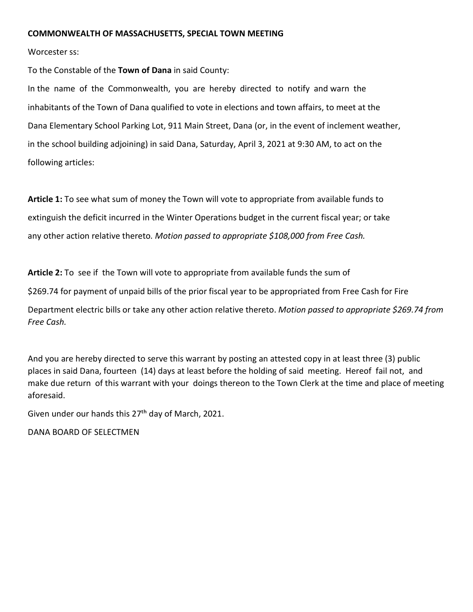## **COMMONWEALTH OF MASSACHUSETTS, SPECIAL TOWN MEETING**

Worcester ss:

To the Constable of the **Town of Dana** in said County:

In the name of the Commonwealth, you are hereby directed to notify and warn the inhabitants of the Town of Dana qualified to vote in elections and town affairs, to meet at the Dana Elementary School Parking Lot, 911 Main Street, Dana (or, in the event of inclement weather, in the school building adjoining) in said Dana, Saturday, April 3, 2021 at 9:30 AM, to act on the following articles:

**Article 1:** To see what sum of money the Town will vote to appropriate from available funds to extinguish the deficit incurred in the Winter Operations budget in the current fiscal year; or take any other action relative thereto*. Motion passed to appropriate \$108,000 from Free Cash.*

**Article 2:** To see if the Town will vote to appropriate from available funds the sum of

\$269.74 for payment of unpaid bills of the prior fiscal year to be appropriated from Free Cash for Fire

Department electric bills or take any other action relative thereto. *Motion passed to appropriate \$269.74 from Free Cash.*

And you are hereby directed to serve this warrant by posting an attested copy in at least three (3) public places in said Dana, fourteen (14) days at least before the holding of said meeting. Hereof fail not, and make due return of this warrant with your doings thereon to the Town Clerk at the time and place of meeting aforesaid.

Given under our hands this 27<sup>th</sup> day of March, 2021.

DANA BOARD OF SELECTMEN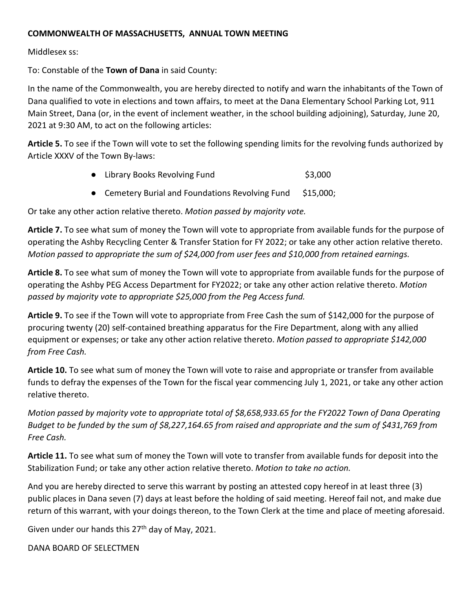# **COMMONWEALTH OF MASSACHUSETTS, ANNUAL TOWN MEETING**

Middlesex ss:

To: Constable of the **Town of Dana** in said County:

In the name of the Commonwealth, you are hereby directed to notify and warn the inhabitants of the Town of Dana qualified to vote in elections and town affairs, to meet at the Dana Elementary School Parking Lot, 911 Main Street, Dana (or, in the event of inclement weather, in the school building adjoining), Saturday, June 20, 2021 at 9:30 AM, to act on the following articles:

**Article 5.** To see if the Town will vote to set the following spending limits for the revolving funds authorized by Article XXXV of the Town By-laws:

- Library Books Revolving Fund **\$3,000**
- Cemetery Burial and Foundations Revolving Fund \$15,000;

Or take any other action relative thereto. *Motion passed by majority vote.*

**Article 7.** To see what sum of money the Town will vote to appropriate from available funds for the purpose of operating the Ashby Recycling Center & Transfer Station for FY 2022; or take any other action relative thereto. *Motion passed to appropriate the sum of \$24,000 from user fees and \$10,000 from retained earnings.* 

**Article 8.** To see what sum of money the Town will vote to appropriate from available funds for the purpose of operating the Ashby PEG Access Department for FY2022; or take any other action relative thereto. *Motion passed by majority vote to appropriate \$25,000 from the Peg Access fund.* 

**Article 9.** To see if the Town will vote to appropriate from Free Cash the sum of \$142,000 for the purpose of procuring twenty (20) self-contained breathing apparatus for the Fire Department, along with any allied equipment or expenses; or take any other action relative thereto. *Motion passed to appropriate \$142,000 from Free Cash.* 

**Article 10.** To see what sum of money the Town will vote to raise and appropriate or transfer from available funds to defray the expenses of the Town for the fiscal year commencing July 1, 2021, or take any other action relative thereto.

*Motion passed by majority vote to appropriate total of \$8,658,933.65 for the FY2022 Town of Dana Operating Budget to be funded by the sum of \$8,227,164.65 from raised and appropriate and the sum of \$431,769 from Free Cash.* 

**Article 11.** To see what sum of money the Town will vote to transfer from available funds for deposit into the Stabilization Fund; or take any other action relative thereto. *Motion to take no action.* 

And you are hereby directed to serve this warrant by posting an attested copy hereof in at least three (3) public places in Dana seven (7) days at least before the holding of said meeting. Hereof fail not, and make due return of this warrant, with your doings thereon, to the Town Clerk at the time and place of meeting aforesaid.

Given under our hands this  $27<sup>th</sup>$  day of May, 2021.

DANA BOARD OF SELECTMEN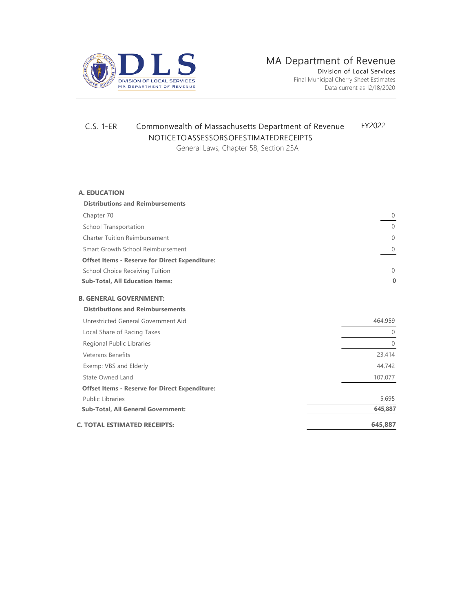

# C.S. 1-ER Commonwealth of Massachusetts Department of Revenue FY2022 NOTICE TO ASSESSORS OF ESTIMATED RECEIPTS

General Laws, Chapter 58, Section 25A

#### **A. EDUCATION**

| <b>Distributions and Reimbursements</b>               |              |
|-------------------------------------------------------|--------------|
| Chapter 70                                            | $\mathbf{0}$ |
| <b>School Transportation</b>                          | $\mathbf{0}$ |
| <b>Charter Tuition Reimbursement</b>                  | $\mathbf{0}$ |
| Smart Growth School Reimbursement                     | $\mathbf{0}$ |
| <b>Offset Items - Reserve for Direct Expenditure:</b> |              |
| School Choice Receiving Tuition                       | $\mathbf{0}$ |
| <b>Sub-Total, All Education Items:</b>                | $\bf{0}$     |
| <b>B. GENERAL GOVERNMENT:</b>                         |              |
| <b>Distributions and Reimbursements</b>               |              |
| Unrestricted General Government Aid                   | 464,959      |
| Local Share of Racing Taxes                           | $\theta$     |
| Regional Public Libraries                             | $\Omega$     |
| <b>Veterans Benefits</b>                              | 23,414       |
| Exemp: VBS and Elderly                                | 44,742       |
| State Owned Land                                      | 107,077      |
| <b>Offset Items - Reserve for Direct Expenditure:</b> |              |
| <b>Public Libraries</b>                               | 5,695        |
| <b>Sub-Total, All General Government:</b>             | 645,887      |
| <b>C. TOTAL ESTIMATED RECEIPTS:</b>                   | 645,887      |
|                                                       |              |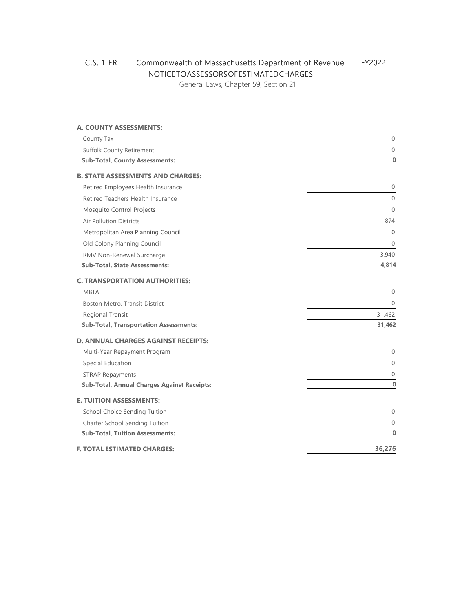# C.S. 1-ER Commonwealth of Massachusetts Department of Revenue FY2022 NOTICE TO ASSESSORS OF ESTIMATED CHARGES

General Laws, Chapter 59, Section 21

# **A. COUNTY ASSESSMENTS:** County Tax 0 Suffolk County Retirement 0 **Sub-Total, County Assessments: 0 B. STATE ASSESSMENTS AND CHARGES:** Retired Employees Health Insurance 0 Retired Teachers Health Insurance 0 Mosquito Control Projects 0 Air Pollution Districts 874 Metropolitan Area Planning Council 0 Old Colony Planning Council 0 RMV Non-Renewal Surcharge 3,940 **Sub-Total, State Assessments: 4,814 C. TRANSPORTATION AUTHORITIES:** MBTA  $\qquad \qquad \qquad \qquad 0$ Boston Metro. Transit District 0 Regional Transit 31,462 **Sub-Total, Transportation Assessments: 31,462 D. ANNUAL CHARGES AGAINST RECEIPTS:** Multi-Year Repayment Program 0 Special Education 0 STRAP Repayments 0 **Sub-Total, Annual Charges Against Receipts: 0 E. TUITION ASSESSMENTS:** School Choice Sending Tuition 0 Charter School Sending Tuition 0 **Sub-Total, Tuition Assessments: 0 F. TOTAL ESTIMATED CHARGES: 36,276**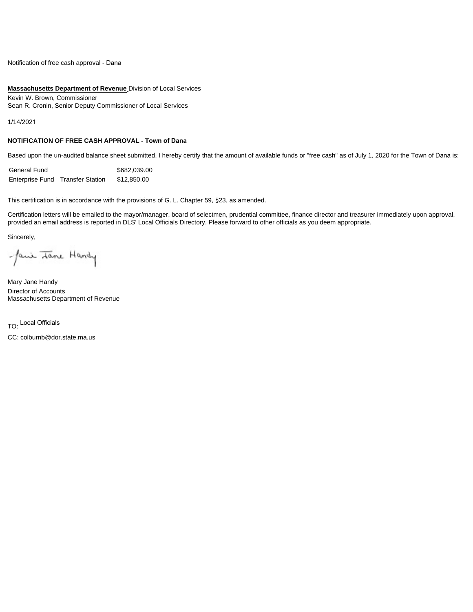Notification of free cash approval - Dana

#### **Massachusetts Department of Revenue** Division of Local Services

Kevin W. Brown, Commissioner Sean R. Cronin, Senior Deputy Commissioner of Local Services

1/14/2021

#### **NOTIFICATION OF FREE CASH APPROVAL - Town of Dana**

Based upon the un-audited balance sheet submitted, I hereby certify that the amount of available funds or "free cash" as of July 1, 2020 for the Town of Dana is:

| General Fund |                                  | \$682.039.00 |
|--------------|----------------------------------|--------------|
|              | Enterprise Fund Transfer Station | \$12,850.00  |

This certification is in accordance with the provisions of G. L. Chapter 59, §23, as amended.

Certification letters will be emailed to the mayor/manager, board of selectmen, prudential committee, finance director and treasurer immediately upon approval, provided an email address is reported in DLS' Local Officials Directory. Please forward to other officials as you deem appropriate.

Sincerely,

Jani Tane Handy

Mary Jane Handy Director of Accounts Massachusetts Department of Revenue

TO: Local Officials

CC: colburnb@dor.state.ma.us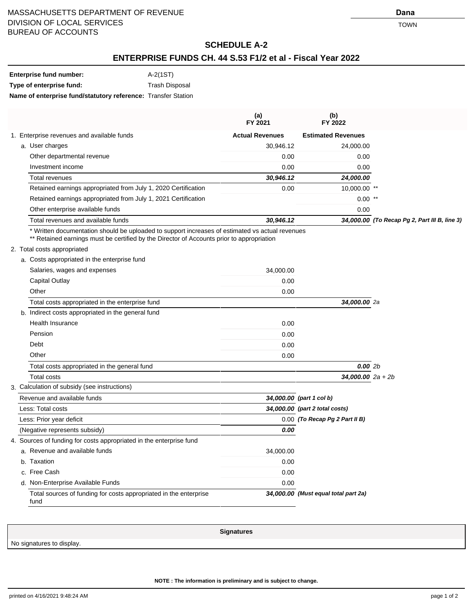# **SCHEDULE A-2**

## **ENTERPRISE FUNDS CH. 44 S.53 F1/2 et al - Fiscal Year 2022**

| Enterprise fund number:                                       | A-2(1ST)              |
|---------------------------------------------------------------|-----------------------|
| Type of enterprise fund:                                      | <b>Trash Disposal</b> |
| Name of enterprise fund/statutory reference: Transfer Station |                       |

|                                                                | (a)<br>FY 2021         | (b)<br>FY 2022            |                                               |
|----------------------------------------------------------------|------------------------|---------------------------|-----------------------------------------------|
| 1. Enterprise revenues and available funds                     | <b>Actual Revenues</b> | <b>Estimated Revenues</b> |                                               |
| a. User charges                                                | 30,946.12              | 24.000.00                 |                                               |
| Other departmental revenue                                     | 0.00                   | 0.00                      |                                               |
| Investment income                                              | 0.00                   | 0.00                      |                                               |
| Total revenues                                                 | 30,946.12              | 24,000.00                 |                                               |
| Retained earnings appropriated from July 1, 2020 Certification | 0.00                   | 10,000.00 **              |                                               |
| Retained earnings appropriated from July 1, 2021 Certification |                        | $0.00$ **                 |                                               |
| Other enterprise available funds                               |                        | 0.00                      |                                               |
| Total revenues and available funds                             | 30,946.12              |                           | 34,000.00 (To Recap Pg 2, Part III B, line 3) |
|                                                                |                        |                           |                                               |

\* Written documentation should be uploaded to support increases of estimated vs actual revenues

\*\* Retained earnings must be certified by the Director of Accounts prior to appropriation

#### 2. Total costs appropriated

|    | a. Costs appropriated in the enterprise fund                              |           |                                      |  |
|----|---------------------------------------------------------------------------|-----------|--------------------------------------|--|
|    | Salaries, wages and expenses                                              | 34,000.00 |                                      |  |
|    | Capital Outlay                                                            | 0.00      |                                      |  |
|    | Other                                                                     | 0.00      |                                      |  |
|    | Total costs appropriated in the enterprise fund                           |           | 34,000.00 2a                         |  |
|    | b. Indirect costs appropriated in the general fund                        |           |                                      |  |
|    | <b>Health Insurance</b>                                                   | 0.00      |                                      |  |
|    | Pension                                                                   | 0.00      |                                      |  |
|    | Debt                                                                      | 0.00      |                                      |  |
|    | Other                                                                     | 0.00      |                                      |  |
|    | Total costs appropriated in the general fund                              |           | 0.002b                               |  |
|    | Total costs                                                               |           | $34,000.002a + 2b$                   |  |
|    | 3. Calculation of subsidy (see instructions)                              |           |                                      |  |
|    | Revenue and available funds                                               |           | 34,000.00 (part 1 col b)             |  |
|    | Less: Total costs                                                         |           | 34,000.00 (part 2 total costs)       |  |
|    | Less: Prior year deficit                                                  |           | 0.00 (To Recap Pg 2 Part II B)       |  |
|    | (Negative represents subsidy)                                             | 0.00      |                                      |  |
|    | 4. Sources of funding for costs appropriated in the enterprise fund       |           |                                      |  |
|    | a. Revenue and available funds                                            | 34,000.00 |                                      |  |
| b. | Taxation                                                                  | 0.00      |                                      |  |
|    | c. Free Cash                                                              | 0.00      |                                      |  |
|    | d. Non-Enterprise Available Funds                                         | 0.00      |                                      |  |
|    | Total sources of funding for costs appropriated in the enterprise<br>fund |           | 34,000.00 (Must equal total part 2a) |  |

No signatures to display.

**NOTE : The information is preliminary and is subject to change.**

**Signatures**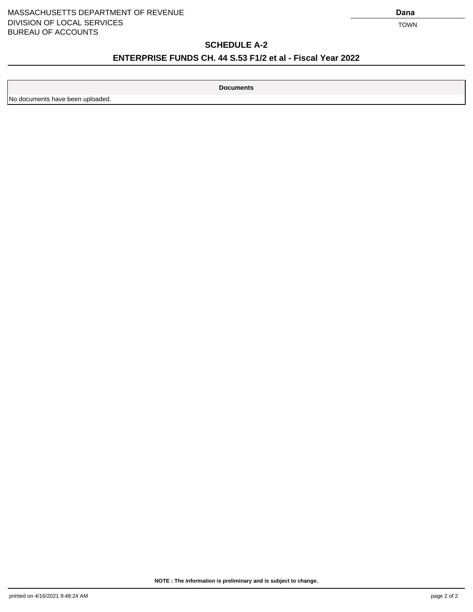#### MASSACHUSETTS DEPARTMENT OF REVENUE **Dana** DIVISION OF LOCAL SERVICES TOWN BUREAU OF ACCOUNTS

# **SCHEDULE A-2**

# **ENTERPRISE FUNDS CH. 44 S.53 F1/2 et al - Fiscal Year 2022**

**Documents**

No documents have been uploaded.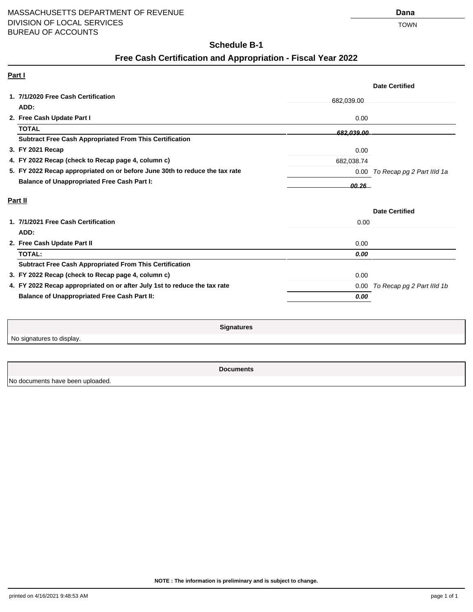# **Schedule B-1**

# **Free Cash Certification and Appropriation - Fiscal Year 2022**

| Part I                                                                      |            |                                 |
|-----------------------------------------------------------------------------|------------|---------------------------------|
|                                                                             |            | <b>Date Certified</b>           |
| 1. 7/1/2020 Free Cash Certification                                         | 682,039.00 |                                 |
| ADD:                                                                        |            |                                 |
| 2. Free Cash Update Part I                                                  | 0.00       |                                 |
| <b>TOTAL</b>                                                                | 682.039.00 |                                 |
| <b>Subtract Free Cash Appropriated From This Certification</b>              |            |                                 |
| 3. FY 2021 Recap                                                            | 0.00       |                                 |
| 4. FY 2022 Recap (check to Recap page 4, column c)                          | 682,038.74 |                                 |
| 5. FY 2022 Recap appropriated on or before June 30th to reduce the tax rate |            | 0.00 To Recap pg 2 Part IIId 1a |
| <b>Balance of Unappropriated Free Cash Part I:</b>                          | 00.26 L    |                                 |
|                                                                             |            |                                 |
| Part II                                                                     |            |                                 |
|                                                                             |            | <b>Date Certified</b>           |
| 1. 7/1/2021 Free Cash Certification                                         | 0.00       |                                 |
| ADD:                                                                        |            |                                 |
| 2. Free Cash Update Part II                                                 | 0.00       |                                 |
| <b>TOTAL:</b>                                                               | 0.00       |                                 |
| <b>Subtract Free Cash Appropriated From This Certification</b>              |            |                                 |
| 3. FY 2022 Recap (check to Recap page 4, column c)                          | 0.00       |                                 |
| 4. FY 2022 Recap appropriated on or after July 1st to reduce the tax rate   | 0.00       | To Recap pg 2 Part IIId 1b      |

**Signatures**

No signatures to display.

**Documents**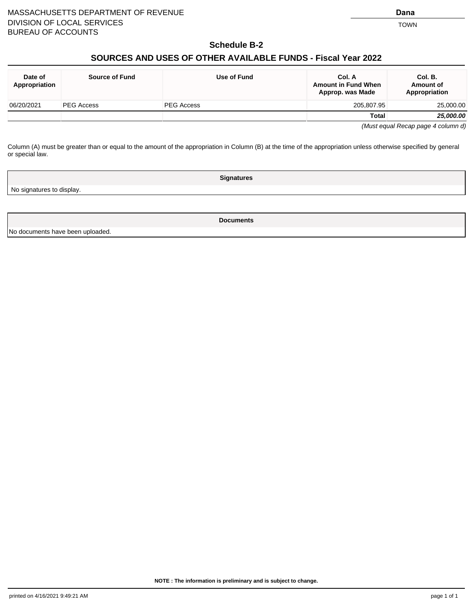(Must equal Recap page 4 column d)

**Amount in Fund When Approp. was Made**

Column (A) must be greater than or equal to the amount of the appropriation in Column (B) at the time of the appropriation unless otherwise specified by general or special law.

**Signatures**

06/20/2021 PEG Access PEG Access 205,807.95 25,000.00

No signatures to display.

**Date of Appropriation**

**Documents**

No documents have been uploaded.

**NOTE : The information is preliminary and is subject to change.**

**Col. B. Amount of Appropriation**

**Total 25,000.00**

#### **Schedule B-2**

# **SOURCES AND USES OF OTHER AVAILABLE FUNDS - Fiscal Year 2022**

**Source of Fund Use of Fund Col. A**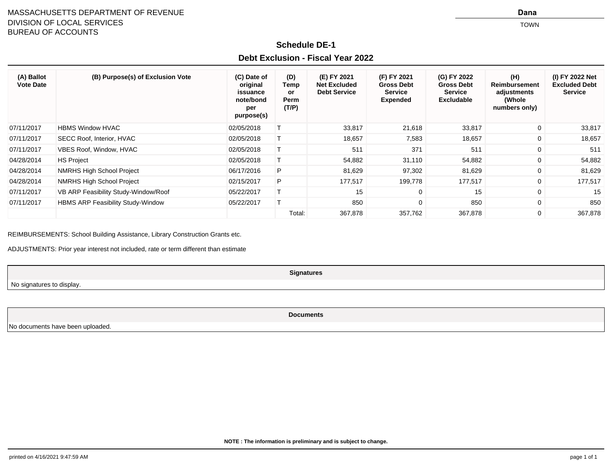#### MASSACHUSETTS DEPARTMENT OF REVENUEDIVISION OF LOCAL SERVICESTOWN TO A THE CONTROL OF THE CONTROL OF THE CONTROL OF THE CONTROL OF THE CONTROL OF THE CONTROL OF THE CONTROL OF THE CONTROL OF THE CONTROL OF THE CONTROL OF THE CONTROL OF THE CONTROL OF THE CONTROL OF THE CONTROL OF TH BUREAU OF ACCOUNTS

**Dana**

## **Schedule DE-1**

## **Debt Exclusion - Fiscal Year 2022**

| (A) Ballot<br><b>Vote Date</b> | (B) Purpose(s) of Exclusion Vote     | (C) Date of<br>original<br>issuance<br>note/bond<br>per<br>purpose(s) | (D)<br>Temp<br>or<br>Perm<br>(T/P) | (E) FY 2021<br><b>Net Excluded</b><br><b>Debt Service</b> | (F) FY 2021<br><b>Gross Debt</b><br><b>Service</b><br><b>Expended</b> | (G) FY 2022<br><b>Gross Debt</b><br><b>Service</b><br><b>Excludable</b> | (H)<br><b>Reimbursement</b><br>adjustments<br>(Whole<br>numbers only) | (I) FY 2022 Net<br><b>Excluded Debt</b><br><b>Service</b> |
|--------------------------------|--------------------------------------|-----------------------------------------------------------------------|------------------------------------|-----------------------------------------------------------|-----------------------------------------------------------------------|-------------------------------------------------------------------------|-----------------------------------------------------------------------|-----------------------------------------------------------|
| 07/11/2017                     | <b>HBMS Window HVAC</b>              | 02/05/2018                                                            |                                    | 33,817                                                    | 21,618                                                                | 33,817                                                                  | $\mathbf{0}$                                                          | 33,817                                                    |
| 07/11/2017                     | SECC Roof, Interior, HVAC            | 02/05/2018                                                            |                                    | 18,657                                                    | 7,583                                                                 | 18,657                                                                  | $\mathbf{0}$                                                          | 18,657                                                    |
| 07/11/2017                     | VBES Roof, Window, HVAC              | 02/05/2018                                                            |                                    | 511                                                       | 371                                                                   | 511                                                                     | 0                                                                     | 511                                                       |
| 04/28/2014                     | <b>HS Project</b>                    | 02/05/2018                                                            |                                    | 54,882                                                    | 31,110                                                                | 54,882                                                                  | $\mathbf{0}$                                                          | 54,882                                                    |
| 04/28/2014                     | NMRHS High School Project            | 06/17/2016                                                            | P                                  | 81,629                                                    | 97,302                                                                | 81,629                                                                  | $\mathbf{0}$                                                          | 81,629                                                    |
| 04/28/2014                     | <b>NMRHS High School Project</b>     | 02/15/2017                                                            | P                                  | 177,517                                                   | 199,778                                                               | 177,517                                                                 | $\overline{0}$                                                        | 177,517                                                   |
| 07/11/2017                     | VB ARP Feasibility Study-Window/Roof | 05/22/2017                                                            |                                    | 15                                                        | $\mathbf{0}$                                                          | 15                                                                      | $\mathbf 0$                                                           | 15                                                        |
| 07/11/2017                     | HBMS ARP Feasibility Study-Window    | 05/22/2017                                                            |                                    | 850                                                       | $\mathbf{0}$                                                          | 850                                                                     | $\mathbf 0$                                                           | 850                                                       |
|                                |                                      |                                                                       | Total:                             | 367,878                                                   | 357,762                                                               | 367,878                                                                 | $\overline{0}$                                                        | 367,878                                                   |

REIMBURSEMENTS: School Building Assistance, Library Construction Grants etc.

ADJUSTMENTS: Prior year interest not included, rate or term different than estimate

**Signatures**

No signatures to display.

**Documents**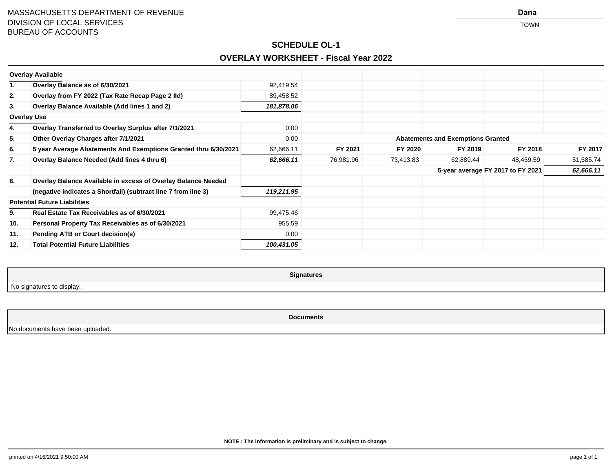**Dana**

# **SCHEDULE OL-1OVERLAY WORKSHEET - Fiscal Year 2022**

|     | <b>Overlay Available</b>                                        |            |           |           |                                          |           |           |
|-----|-----------------------------------------------------------------|------------|-----------|-----------|------------------------------------------|-----------|-----------|
| 1.  | Overlay Balance as of 6/30/2021                                 | 92,419.54  |           |           |                                          |           |           |
| 2.  | Overlay from FY 2022 (Tax Rate Recap Page 2 IId)                | 89,458.52  |           |           |                                          |           |           |
| 3.  | Overlay Balance Available (Add lines 1 and 2)                   | 181,878.06 |           |           |                                          |           |           |
|     | <b>Overlay Use</b>                                              |            |           |           |                                          |           |           |
| 4.  | Overlay Transferred to Overlay Surplus after 7/1/2021           | 0.00       |           |           |                                          |           |           |
| 5.  | Other Overlay Charges after 7/1/2021                            | 0.00       |           |           | <b>Abatements and Exemptions Granted</b> |           |           |
| 6.  | 5 year Average Abatements And Exemptions Granted thru 6/30/2021 | 62,666.11  | FY 2021   | FY 2020   | FY 2019                                  | FY 2018   | FY 2017   |
| 7.  | Overlay Balance Needed (Add lines 4 thru 6)                     | 62,666.11  | 76,981.96 | 73,413.83 | 62,889.44                                | 48,459.59 | 51,585.74 |
|     |                                                                 |            |           |           | 5-year average FY 2017 to FY 2021        |           | 62,666.11 |
| 8.  | Overlay Balance Available in excess of Overlay Balance Needed   |            |           |           |                                          |           |           |
|     | (negative indicates a Shortfall) (subtract line 7 from line 3)  | 119,211.95 |           |           |                                          |           |           |
|     | <b>Potential Future Liabilities</b>                             |            |           |           |                                          |           |           |
| 9.  | Real Estate Tax Receivables as of 6/30/2021                     | 99,475.46  |           |           |                                          |           |           |
| 10. | Personal Property Tax Receivables as of 6/30/2021               | 955.59     |           |           |                                          |           |           |
| 11. | <b>Pending ATB or Court decision(s)</b>                         | 0.00       |           |           |                                          |           |           |
| 12. | <b>Total Potential Future Liabilities</b>                       | 100,431.05 |           |           |                                          |           |           |

No signatures to display.

**Signatures**

**Documents**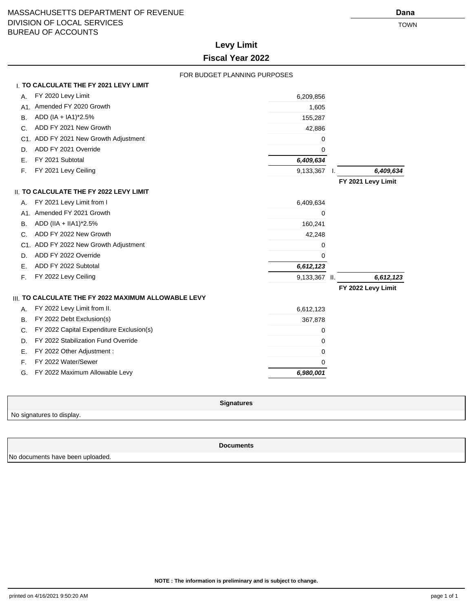# **Levy Limit Fiscal Year 2022**

|     | FOR BUDGET PLANNING PURPOSES                         |               |                    |
|-----|------------------------------------------------------|---------------|--------------------|
|     | <b>I. TO CALCULATE THE FY 2021 LEVY LIMIT</b>        |               |                    |
| А.  | FY 2020 Levy Limit                                   | 6,209,856     |                    |
|     | A1. Amended FY 2020 Growth                           | 1,605         |                    |
| В.  | ADD (IA + IA1)*2.5%                                  | 155,287       |                    |
| C.  | ADD FY 2021 New Growth                               | 42,886        |                    |
| C1. | ADD FY 2021 New Growth Adjustment                    | 0             |                    |
| D.  | ADD FY 2021 Override                                 | 0             |                    |
| Е.  | FY 2021 Subtotal                                     | 6,409,634     |                    |
| F.  | FY 2021 Levy Ceiling                                 | 9,133,367     | 6,409,634          |
|     |                                                      |               | FY 2021 Levy Limit |
|     | <b>II. TO CALCULATE THE FY 2022 LEVY LIMIT</b>       |               |                    |
| А.  | FY 2021 Levy Limit from I                            | 6,409,634     |                    |
| A1. | Amended FY 2021 Growth                               | 0             |                    |
| В.  | ADD (IIA + IIA1)*2.5%                                | 160,241       |                    |
| C.  | ADD FY 2022 New Growth                               | 42,248        |                    |
| C1. | ADD FY 2022 New Growth Adjustment                    | 0             |                    |
| D.  | ADD FY 2022 Override                                 | 0             |                    |
| Ε.  | ADD FY 2022 Subtotal                                 | 6,612,123     |                    |
| F.  | FY 2022 Levy Ceiling                                 | 9,133,367 II. | 6,612,123          |
|     |                                                      |               | FY 2022 Levy Limit |
|     | III. TO CALCULATE THE FY 2022 MAXIMUM ALLOWABLE LEVY |               |                    |
| А.  | FY 2022 Levy Limit from II.                          | 6,612,123     |                    |
| В.  | FY 2022 Debt Exclusion(s)                            | 367,878       |                    |
| C.  | FY 2022 Capital Expenditure Exclusion(s)             | 0             |                    |
| D.  | FY 2022 Stabilization Fund Override                  | 0             |                    |
| Е.  | FY 2022 Other Adjustment :                           | 0             |                    |
| F.  | FY 2022 Water/Sewer                                  | 0             |                    |
| G.  | FY 2022 Maximum Allowable Levy                       | 6,980,001     |                    |
|     |                                                      |               |                    |

No signatures to display.

**Signatures**

**Documents**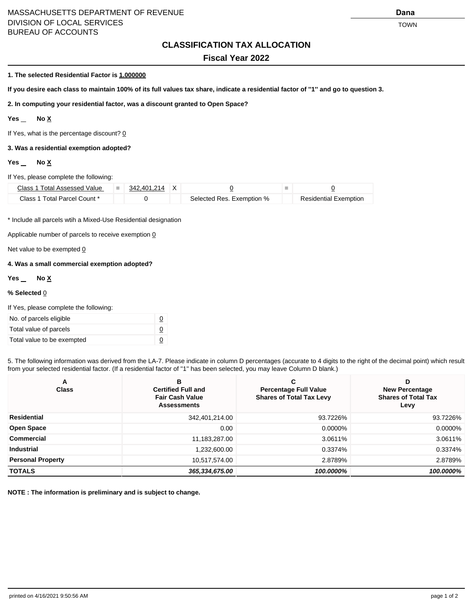### MASSACHUSETTS DEPARTMENT OF REVENUE **Dana** DIVISION OF LOCAL SERVICES TOWN TO A SERVICE SERVICE SERVICE SERVICE SERVICE SERVICE SERVICE SERVICE SERVICE S BUREAU OF ACCOUNTS

## **CLASSIFICATION TAX ALLOCATION**

#### **Fiscal Year 2022**

#### **1. The selected Residential Factor is 1.000000**

**If you desire each class to maintain 100% of its full values tax share, indicate a residential factor of ''1'' and go to question 3.**

**2. In computing your residential factor, was a discount granted to Open Space?**

#### Yes \_ No <u>X</u>

If Yes, what is the percentage discount?  $Q$ 

#### **3. Was a residential exemption adopted?**

#### Yes \_ No <u>X</u>

#### If Yes, please complete the following:

| Class 1 Total Assessed Value $=$ 342.401.214 X |  |                           |                              |
|------------------------------------------------|--|---------------------------|------------------------------|
| Class 1 Total Parcel Count *                   |  | Selected Res. Exemption % | <b>Residential Exemption</b> |

\* Include all parcels wtih a Mixed-Use Residential designation

Applicable number of parcels to receive exemption  $Q$ 

Net value to be exempted  $Q$ 

#### **4. Was a small commercial exemption adopted?**

#### Yes \_ No <u>X</u>

#### **% Selected** 0

| If Yes, please complete the following: |  |
|----------------------------------------|--|
| No. of parcels eligible                |  |
| Total value of parcels                 |  |
| Total value to be exempted             |  |

5. The following information was derived from the LA-7. Please indicate in column D percentages (accurate to 4 digits to the right of the decimal point) which result from your selected residential factor. (If a residential factor of "1" has been selected, you may leave Column D blank.)

| A<br><b>Class</b>        | в<br><b>Certified Full and</b><br><b>Fair Cash Value</b><br><b>Assessments</b> | C<br><b>Percentage Full Value</b><br><b>Shares of Total Tax Levy</b> | D<br><b>New Percentage</b><br><b>Shares of Total Tax</b><br>Levy |
|--------------------------|--------------------------------------------------------------------------------|----------------------------------------------------------------------|------------------------------------------------------------------|
| Residential              | 342,401,214.00                                                                 | 93.7226%                                                             | 93.7226%                                                         |
| <b>Open Space</b>        | 0.00                                                                           | 0.0000%                                                              | 0.0000%                                                          |
| Commercial               | 11,183,287.00                                                                  | 3.0611%                                                              | 3.0611%                                                          |
| <b>Industrial</b>        | 1,232,600.00                                                                   | 0.3374%                                                              | 0.3374%                                                          |
| <b>Personal Property</b> | 10,517,574.00                                                                  | 2.8789%                                                              | 2.8789%                                                          |
| <b>TOTALS</b>            | 365,334,675.00                                                                 | 100.0000%                                                            | 100.0000%                                                        |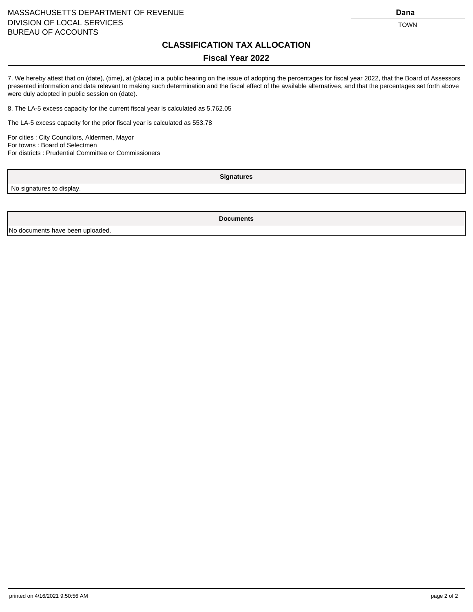#### MASSACHUSETTS DEPARTMENT OF REVENUE **Dana Dana Dana Dana** DIVISION OF LOCAL SERVICES TOWN TO A SERVICE SERVICE SERVICE SERVICE SERVICE SERVICE SERVICE SERVICE SERVICE S BUREAU OF ACCOUNTS

# **CLASSIFICATION TAX ALLOCATION**

## **Fiscal Year 2022**

7. We hereby attest that on (date), (time), at (place) in a public hearing on the issue of adopting the percentages for fiscal year 2022, that the Board of Assessors presented information and data relevant to making such determination and the fiscal effect of the available alternatives, and that the percentages set forth above were duly adopted in public session on (date).

8. The LA-5 excess capacity for the current fiscal year is calculated as 5,762.05

The LA-5 excess capacity for the prior fiscal year is calculated as 553.78

For cities : City Councilors, Aldermen, Mayor For towns : Board of Selectmen For districts : Prudential Committee or Commissioners

No signatures to display.

**Signatures**

**Documents**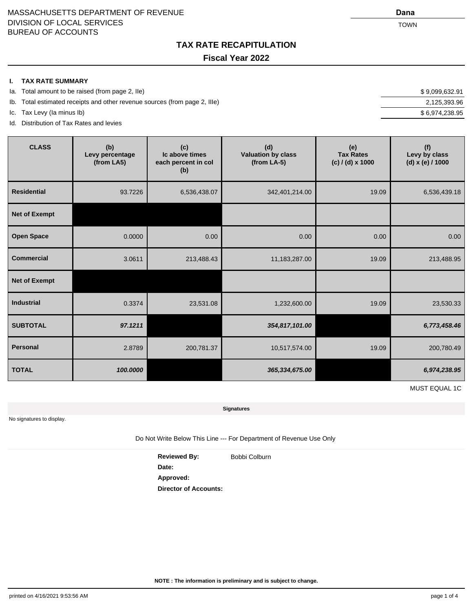**TAX RATE RECAPITULATION Fiscal Year 2022**

#### **I. TAX RATE SUMMARY**

- Ia. Total amount to be raised (from page 2, IIe)  $$9,099,632.91$
- Ib. Total estimated receipts and other revenue sources (from page 2, IIIe) 2,125,393.96
- Ic. Tax Levy (Ia minus Ib) \$ 6,974,238.95
- Id. Distribution of Tax Rates and levies

| <b>CLASS</b>         | (b)<br>Levy percentage<br>(from LA5) | (c)<br>Ic above times<br>each percent in col<br>(b) | (d)<br><b>Valuation by class</b><br>$(from LA-5)$ | (e)<br><b>Tax Rates</b><br>(c) / (d) x 1000 | (f)<br>Levy by class<br>(d) x (e) / 1000 |  |
|----------------------|--------------------------------------|-----------------------------------------------------|---------------------------------------------------|---------------------------------------------|------------------------------------------|--|
| <b>Residential</b>   | 93.7226                              | 6,536,438.07                                        | 342,401,214.00                                    | 19.09                                       | 6,536,439.18                             |  |
| <b>Net of Exempt</b> |                                      |                                                     |                                                   |                                             |                                          |  |
| <b>Open Space</b>    | 0.0000                               | 0.00                                                | 0.00                                              | 0.00                                        | 0.00                                     |  |
| <b>Commercial</b>    | 3.0611                               | 213,488.43                                          | 11,183,287.00                                     | 19.09                                       | 213,488.95                               |  |
| <b>Net of Exempt</b> |                                      |                                                     |                                                   |                                             |                                          |  |
| <b>Industrial</b>    | 0.3374                               | 23,531.08                                           | 1,232,600.00                                      | 19.09                                       | 23,530.33                                |  |
| <b>SUBTOTAL</b>      | 97.1211                              |                                                     | 354,817,101.00                                    |                                             | 6,773,458.46                             |  |
| Personal             | 2.8789                               | 200,781.37                                          | 10,517,574.00                                     | 19.09                                       | 200,780.49                               |  |
| <b>TOTAL</b>         | 100.0000                             |                                                     | 365,334,675.00                                    |                                             | 6,974,238.95                             |  |

MUST EQUAL 1C

**Signatures**

No signatures to display.

Do Not Write Below This Line --- For Department of Revenue Use Only

Reviewed By: Bobbi Colburn **Date: Approved: Director of Accounts:**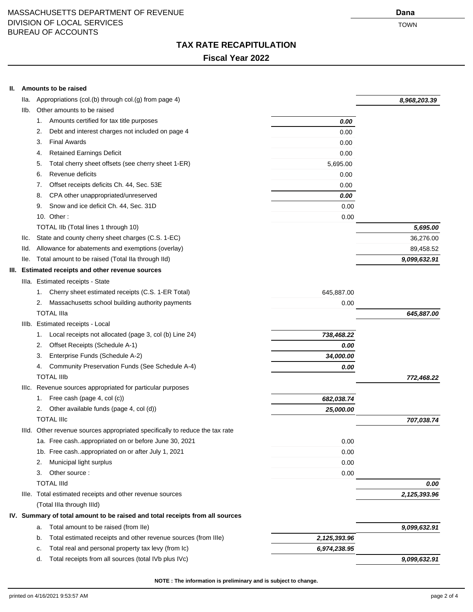**II. Amounts to be raised**

## **TAX RATE RECAPITULATION**

## **Fiscal Year 2022**

| lla.                                                                                                                                                                                                                                                                                                                                                                                                                                                                                                                                                                                                                                                                                                                                                                                                                                                                                                                                                                                                                                                                                                                                                                                                                                                                                                                                                                                                                                                                            | Appropriations (col.(b) through col.(g) from page 4)     |          | 8,968,203.39 |
|---------------------------------------------------------------------------------------------------------------------------------------------------------------------------------------------------------------------------------------------------------------------------------------------------------------------------------------------------------------------------------------------------------------------------------------------------------------------------------------------------------------------------------------------------------------------------------------------------------------------------------------------------------------------------------------------------------------------------------------------------------------------------------------------------------------------------------------------------------------------------------------------------------------------------------------------------------------------------------------------------------------------------------------------------------------------------------------------------------------------------------------------------------------------------------------------------------------------------------------------------------------------------------------------------------------------------------------------------------------------------------------------------------------------------------------------------------------------------------|----------------------------------------------------------|----------|--------------|
|                                                                                                                                                                                                                                                                                                                                                                                                                                                                                                                                                                                                                                                                                                                                                                                                                                                                                                                                                                                                                                                                                                                                                                                                                                                                                                                                                                                                                                                                                 | Other amounts to be raised                               |          |              |
|                                                                                                                                                                                                                                                                                                                                                                                                                                                                                                                                                                                                                                                                                                                                                                                                                                                                                                                                                                                                                                                                                                                                                                                                                                                                                                                                                                                                                                                                                 | Amounts certified for tax title purposes<br>1.           | 0.00     |              |
|                                                                                                                                                                                                                                                                                                                                                                                                                                                                                                                                                                                                                                                                                                                                                                                                                                                                                                                                                                                                                                                                                                                                                                                                                                                                                                                                                                                                                                                                                 | Debt and interest charges not included on page 4<br>2.   | 0.00     |              |
|                                                                                                                                                                                                                                                                                                                                                                                                                                                                                                                                                                                                                                                                                                                                                                                                                                                                                                                                                                                                                                                                                                                                                                                                                                                                                                                                                                                                                                                                                 | <b>Final Awards</b><br>3.                                | 0.00     |              |
|                                                                                                                                                                                                                                                                                                                                                                                                                                                                                                                                                                                                                                                                                                                                                                                                                                                                                                                                                                                                                                                                                                                                                                                                                                                                                                                                                                                                                                                                                 | <b>Retained Earnings Deficit</b><br>4.                   | 0.00     |              |
|                                                                                                                                                                                                                                                                                                                                                                                                                                                                                                                                                                                                                                                                                                                                                                                                                                                                                                                                                                                                                                                                                                                                                                                                                                                                                                                                                                                                                                                                                 | Total cherry sheet offsets (see cherry sheet 1-ER)<br>5. | 5,695.00 |              |
|                                                                                                                                                                                                                                                                                                                                                                                                                                                                                                                                                                                                                                                                                                                                                                                                                                                                                                                                                                                                                                                                                                                                                                                                                                                                                                                                                                                                                                                                                 | Revenue deficits<br>6.                                   | 0.00     |              |
|                                                                                                                                                                                                                                                                                                                                                                                                                                                                                                                                                                                                                                                                                                                                                                                                                                                                                                                                                                                                                                                                                                                                                                                                                                                                                                                                                                                                                                                                                 | Offset receipts deficits Ch. 44, Sec. 53E<br>7.          | 0.00     |              |
|                                                                                                                                                                                                                                                                                                                                                                                                                                                                                                                                                                                                                                                                                                                                                                                                                                                                                                                                                                                                                                                                                                                                                                                                                                                                                                                                                                                                                                                                                 | CPA other unappropriated/unreserved<br>8.                | 0.00     |              |
|                                                                                                                                                                                                                                                                                                                                                                                                                                                                                                                                                                                                                                                                                                                                                                                                                                                                                                                                                                                                                                                                                                                                                                                                                                                                                                                                                                                                                                                                                 | Snow and ice deficit Ch. 44, Sec. 31D<br>9.              | 0.00     |              |
|                                                                                                                                                                                                                                                                                                                                                                                                                                                                                                                                                                                                                                                                                                                                                                                                                                                                                                                                                                                                                                                                                                                                                                                                                                                                                                                                                                                                                                                                                 | 10. Other:                                               | 0.00     |              |
|                                                                                                                                                                                                                                                                                                                                                                                                                                                                                                                                                                                                                                                                                                                                                                                                                                                                                                                                                                                                                                                                                                                                                                                                                                                                                                                                                                                                                                                                                 | TOTAL IIb (Total lines 1 through 10)                     |          | 5,695.00     |
| IIc.                                                                                                                                                                                                                                                                                                                                                                                                                                                                                                                                                                                                                                                                                                                                                                                                                                                                                                                                                                                                                                                                                                                                                                                                                                                                                                                                                                                                                                                                            | State and county cherry sheet charges (C.S. 1-EC)        |          | 36,276.00    |
| Ild.                                                                                                                                                                                                                                                                                                                                                                                                                                                                                                                                                                                                                                                                                                                                                                                                                                                                                                                                                                                                                                                                                                                                                                                                                                                                                                                                                                                                                                                                            | Allowance for abatements and exemptions (overlay)        |          | 89,458.52    |
| lle.                                                                                                                                                                                                                                                                                                                                                                                                                                                                                                                                                                                                                                                                                                                                                                                                                                                                                                                                                                                                                                                                                                                                                                                                                                                                                                                                                                                                                                                                            | Total amount to be raised (Total IIa through IId)        |          | 9,099,632.91 |
| IIb.<br>III. Estimated receipts and other revenue sources<br>Illa. Estimated receipts - State<br>Cherry sheet estimated receipts (C.S. 1-ER Total)<br>645,887.00<br>1.<br>Massachusetts school building authority payments<br>2.<br>0.00<br><b>TOTAL IIIa</b><br>IIIb. Estimated receipts - Local<br>Local receipts not allocated (page 3, col (b) Line 24)<br>738,468.22<br>1.<br>Offset Receipts (Schedule A-1)<br>2.<br>0.00<br>Enterprise Funds (Schedule A-2)<br>3.<br>34,000.00<br>Community Preservation Funds (See Schedule A-4)<br>4.<br>0.00<br><b>TOTAL IIIb</b><br>IIIc. Revenue sources appropriated for particular purposes<br>Free cash (page 4, col (c))<br>682,038.74<br>1.<br>Other available funds (page 4, col (d))<br>2.<br>25,000.00<br>TOTAL IIIc<br>IIId. Other revenue sources appropriated specifically to reduce the tax rate<br>1a. Free cashappropriated on or before June 30, 2021<br>0.00<br>1b. Free cashappropriated on or after July 1, 2021<br>0.00<br>Municipal light surplus<br>0.00<br>2.<br>3.<br>Other source:<br>0.00<br><b>TOTAL IIId</b><br>Ille. Total estimated receipts and other revenue sources<br>(Total IIIa through IIId)<br>IV. Summary of total amount to be raised and total receipts from all sources<br>Total amount to be raised (from Ile)<br>a.<br>Total estimated receipts and other revenue sources (from IIIe)<br>2,125,393.96<br>b.<br>Total real and personal property tax levy (from Ic)<br>6,974,238.95<br>c. |                                                          |          |              |
|                                                                                                                                                                                                                                                                                                                                                                                                                                                                                                                                                                                                                                                                                                                                                                                                                                                                                                                                                                                                                                                                                                                                                                                                                                                                                                                                                                                                                                                                                 |                                                          |          |              |
|                                                                                                                                                                                                                                                                                                                                                                                                                                                                                                                                                                                                                                                                                                                                                                                                                                                                                                                                                                                                                                                                                                                                                                                                                                                                                                                                                                                                                                                                                 |                                                          |          |              |
|                                                                                                                                                                                                                                                                                                                                                                                                                                                                                                                                                                                                                                                                                                                                                                                                                                                                                                                                                                                                                                                                                                                                                                                                                                                                                                                                                                                                                                                                                 |                                                          |          |              |
|                                                                                                                                                                                                                                                                                                                                                                                                                                                                                                                                                                                                                                                                                                                                                                                                                                                                                                                                                                                                                                                                                                                                                                                                                                                                                                                                                                                                                                                                                 |                                                          |          | 645,887.00   |
|                                                                                                                                                                                                                                                                                                                                                                                                                                                                                                                                                                                                                                                                                                                                                                                                                                                                                                                                                                                                                                                                                                                                                                                                                                                                                                                                                                                                                                                                                 |                                                          |          |              |
|                                                                                                                                                                                                                                                                                                                                                                                                                                                                                                                                                                                                                                                                                                                                                                                                                                                                                                                                                                                                                                                                                                                                                                                                                                                                                                                                                                                                                                                                                 |                                                          |          |              |
|                                                                                                                                                                                                                                                                                                                                                                                                                                                                                                                                                                                                                                                                                                                                                                                                                                                                                                                                                                                                                                                                                                                                                                                                                                                                                                                                                                                                                                                                                 |                                                          |          |              |
|                                                                                                                                                                                                                                                                                                                                                                                                                                                                                                                                                                                                                                                                                                                                                                                                                                                                                                                                                                                                                                                                                                                                                                                                                                                                                                                                                                                                                                                                                 |                                                          |          |              |
|                                                                                                                                                                                                                                                                                                                                                                                                                                                                                                                                                                                                                                                                                                                                                                                                                                                                                                                                                                                                                                                                                                                                                                                                                                                                                                                                                                                                                                                                                 |                                                          |          |              |
|                                                                                                                                                                                                                                                                                                                                                                                                                                                                                                                                                                                                                                                                                                                                                                                                                                                                                                                                                                                                                                                                                                                                                                                                                                                                                                                                                                                                                                                                                 |                                                          |          | 772,468.22   |
|                                                                                                                                                                                                                                                                                                                                                                                                                                                                                                                                                                                                                                                                                                                                                                                                                                                                                                                                                                                                                                                                                                                                                                                                                                                                                                                                                                                                                                                                                 |                                                          |          |              |
|                                                                                                                                                                                                                                                                                                                                                                                                                                                                                                                                                                                                                                                                                                                                                                                                                                                                                                                                                                                                                                                                                                                                                                                                                                                                                                                                                                                                                                                                                 |                                                          |          |              |
|                                                                                                                                                                                                                                                                                                                                                                                                                                                                                                                                                                                                                                                                                                                                                                                                                                                                                                                                                                                                                                                                                                                                                                                                                                                                                                                                                                                                                                                                                 |                                                          |          |              |
|                                                                                                                                                                                                                                                                                                                                                                                                                                                                                                                                                                                                                                                                                                                                                                                                                                                                                                                                                                                                                                                                                                                                                                                                                                                                                                                                                                                                                                                                                 |                                                          |          | 707,038.74   |
|                                                                                                                                                                                                                                                                                                                                                                                                                                                                                                                                                                                                                                                                                                                                                                                                                                                                                                                                                                                                                                                                                                                                                                                                                                                                                                                                                                                                                                                                                 |                                                          |          |              |
|                                                                                                                                                                                                                                                                                                                                                                                                                                                                                                                                                                                                                                                                                                                                                                                                                                                                                                                                                                                                                                                                                                                                                                                                                                                                                                                                                                                                                                                                                 |                                                          |          |              |
|                                                                                                                                                                                                                                                                                                                                                                                                                                                                                                                                                                                                                                                                                                                                                                                                                                                                                                                                                                                                                                                                                                                                                                                                                                                                                                                                                                                                                                                                                 |                                                          |          |              |
|                                                                                                                                                                                                                                                                                                                                                                                                                                                                                                                                                                                                                                                                                                                                                                                                                                                                                                                                                                                                                                                                                                                                                                                                                                                                                                                                                                                                                                                                                 |                                                          |          |              |
|                                                                                                                                                                                                                                                                                                                                                                                                                                                                                                                                                                                                                                                                                                                                                                                                                                                                                                                                                                                                                                                                                                                                                                                                                                                                                                                                                                                                                                                                                 |                                                          |          |              |
|                                                                                                                                                                                                                                                                                                                                                                                                                                                                                                                                                                                                                                                                                                                                                                                                                                                                                                                                                                                                                                                                                                                                                                                                                                                                                                                                                                                                                                                                                 |                                                          |          | 0.00         |
|                                                                                                                                                                                                                                                                                                                                                                                                                                                                                                                                                                                                                                                                                                                                                                                                                                                                                                                                                                                                                                                                                                                                                                                                                                                                                                                                                                                                                                                                                 |                                                          |          | 2,125,393.96 |
|                                                                                                                                                                                                                                                                                                                                                                                                                                                                                                                                                                                                                                                                                                                                                                                                                                                                                                                                                                                                                                                                                                                                                                                                                                                                                                                                                                                                                                                                                 |                                                          |          |              |
|                                                                                                                                                                                                                                                                                                                                                                                                                                                                                                                                                                                                                                                                                                                                                                                                                                                                                                                                                                                                                                                                                                                                                                                                                                                                                                                                                                                                                                                                                 |                                                          |          |              |
|                                                                                                                                                                                                                                                                                                                                                                                                                                                                                                                                                                                                                                                                                                                                                                                                                                                                                                                                                                                                                                                                                                                                                                                                                                                                                                                                                                                                                                                                                 |                                                          |          | 9,099,632.91 |
|                                                                                                                                                                                                                                                                                                                                                                                                                                                                                                                                                                                                                                                                                                                                                                                                                                                                                                                                                                                                                                                                                                                                                                                                                                                                                                                                                                                                                                                                                 |                                                          |          |              |
|                                                                                                                                                                                                                                                                                                                                                                                                                                                                                                                                                                                                                                                                                                                                                                                                                                                                                                                                                                                                                                                                                                                                                                                                                                                                                                                                                                                                                                                                                 |                                                          |          |              |
|                                                                                                                                                                                                                                                                                                                                                                                                                                                                                                                                                                                                                                                                                                                                                                                                                                                                                                                                                                                                                                                                                                                                                                                                                                                                                                                                                                                                                                                                                 |                                                          |          |              |

d. Total receipts from all sources (total IVb plus IVc) **9,099,632.91**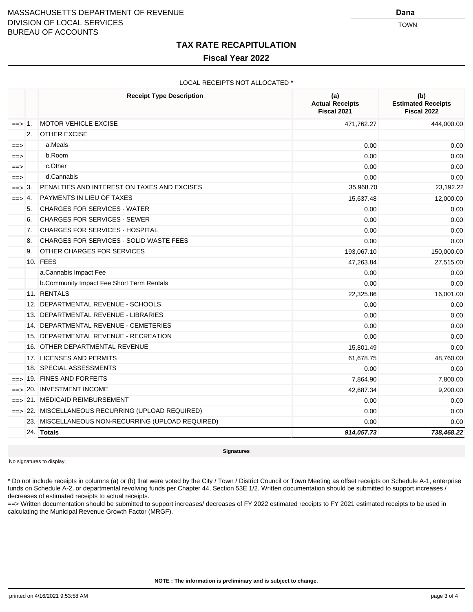#### **TAX RATE RECAPITULATION**

#### **Fiscal Year 2022**

#### LOCAL RECEIPTS NOT ALLOCATED \*

|                   |                | <b>Receipt Type Description</b>                   | (a)<br><b>Actual Receipts</b><br>Fiscal 2021 | (b)<br><b>Estimated Receipts</b><br>Fiscal 2022 |
|-------------------|----------------|---------------------------------------------------|----------------------------------------------|-------------------------------------------------|
| $=\Rightarrow$ 1. |                | <b>MOTOR VEHICLE EXCISE</b>                       | 471,762.27                                   | 444,000.00                                      |
|                   | 2.             | <b>OTHER EXCISE</b>                               |                                              |                                                 |
| $==$              |                | a.Meals                                           | 0.00                                         | 0.00                                            |
| $==$              |                | b.Room                                            | 0.00                                         | 0.00                                            |
| $==$              |                | c.Other                                           | 0.00                                         | 0.00                                            |
| ==>               |                | d.Cannabis                                        | 0.00                                         | 0.00                                            |
| $==$              | 3.             | PENALTIES AND INTEREST ON TAXES AND EXCISES       | 35,968.70                                    | 23,192.22                                       |
| $==$              | 4.             | <b>PAYMENTS IN LIEU OF TAXES</b>                  | 15,637.48                                    | 12,000.00                                       |
|                   | 5.             | <b>CHARGES FOR SERVICES - WATER</b>               | 0.00                                         | 0.00                                            |
|                   | 6.             | <b>CHARGES FOR SERVICES - SEWER</b>               | 0.00                                         | 0.00                                            |
|                   | 7 <sub>1</sub> | <b>CHARGES FOR SERVICES - HOSPITAL</b>            | 0.00                                         | 0.00                                            |
|                   | 8.             | <b>CHARGES FOR SERVICES - SOLID WASTE FEES</b>    | 0.00                                         | 0.00                                            |
|                   | 9.             | OTHER CHARGES FOR SERVICES                        | 193,067.10                                   | 150,000.00                                      |
|                   |                | 10. FEES                                          | 47,263.84                                    | 27,515.00                                       |
|                   |                | a.Cannabis Impact Fee                             | 0.00                                         | 0.00                                            |
|                   |                | b.Community Impact Fee Short Term Rentals         | 0.00                                         | 0.00                                            |
|                   |                | 11. RENTALS                                       | 22,325.86                                    | 16,001.00                                       |
|                   |                | 12. DEPARTMENTAL REVENUE - SCHOOLS                | 0.00                                         | 0.00                                            |
|                   |                | 13. DEPARTMENTAL REVENUE - LIBRARIES              | 0.00                                         | 0.00                                            |
|                   |                | 14. DEPARTMENTAL REVENUE - CEMETERIES             | 0.00                                         | 0.00                                            |
|                   |                | 15. DEPARTMENTAL REVENUE - RECREATION             | 0.00                                         | 0.00                                            |
|                   |                | 16. OTHER DEPARTMENTAL REVENUE                    | 15,801.49                                    | 0.00                                            |
|                   |                | 17. LICENSES AND PERMITS                          | 61,678.75                                    | 48,760.00                                       |
|                   |                | 18. SPECIAL ASSESSMENTS                           | 0.00                                         | 0.00                                            |
|                   |                | $\equiv$ 19. FINES AND FORFEITS                   | 7,864.90                                     | 7,800.00                                        |
| $==$              |                | 20. INVESTMENT INCOME                             | 42,687.34                                    | 9,200.00                                        |
| $==$              |                | 21. MEDICAID REIMBURSEMENT                        | 0.00                                         | 0.00                                            |
|                   |                | ==> 22. MISCELLANEOUS RECURRING (UPLOAD REQUIRED) | 0.00                                         | 0.00                                            |
|                   |                | 23. MISCELLANEOUS NON-RECURRING (UPLOAD REQUIRED) | 0.00                                         | 0.00                                            |
|                   |                | 24. Totals                                        | 914,057.73                                   | 738,468.22                                      |

**Signatures**

No signatures to display.

\* Do not include receipts in columns (a) or (b) that were voted by the City / Town / District Council or Town Meeting as offset receipts on Schedule A-1, enterprise funds on Schedule A-2, or departmental revolving funds per Chapter 44, Section 53E 1/2. Written documentation should be submitted to support increases / decreases of estimated receipts to actual receipts.

==> Written documentation should be submitted to support increases/ decreases of FY 2022 estimated receipts to FY 2021 estimated receipts to be used in calculating the Municipal Revenue Growth Factor (MRGF).